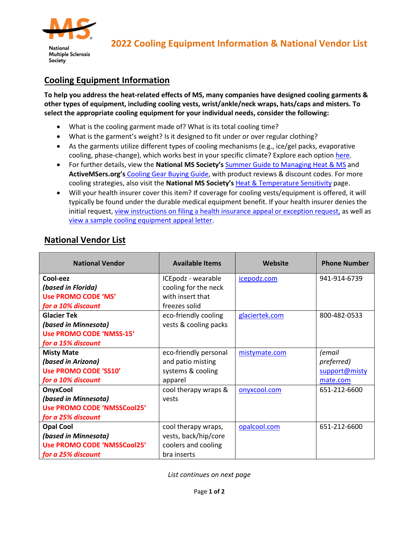

# **Cooling Equipment Information**

**To help you address the heat-related effects of MS, many companies have designed cooling garments & other types of equipment, including cooling vests, wrist/ankle/neck wraps, hats/caps and misters. To select the appropriate cooling equipment for your individual needs, consider the following:**

- What is the cooling garment made of? What is its total cooling time?
- What is the garment's weight? Is it designed to fit under or over regular clothing?
- As the garments utilize different types of cooling mechanisms (e.g., ice/gel packs, evaporative cooling, phase-change), which works best in your specific climate? Explore each optio[n here.](http://www.polarproducts.com/polarshop/pc/viewcontent.asp?idpage=93)
- For further details, view the **National MS Society's** [Summer Guide to Managing Heat & MS](http://www.momentummagazineonline.com/summer-guide-managing-heat-ms/) and **ActiveMSers.org's** [Cooling Gear Buying Guide,](https://www.activemsers.org/cooling-vest-guide) with product reviews & discount codes. For more cooling strategies, also visit the **National MS Society's** [Heat & Temperature Sensitivity](https://www.nationalmssociety.org/Living-Well-With-MS/Diet-Exercise-Healthy-Behaviors/Heat-Temperature-Sensitivity) page.
- Will your health insurer cover this item? If coverage for cooling vests/equipment is offered, it will typically be found under the durable medical equipment benefit. If your health insurer denies the initial request, view instructions on filing a [health insurance appeal or exception request,](https://www.nationalmssociety.org/Living-Well-With-MS/Work-and-Home/Insurance-and-Financial-Information/Health-Insurance/Appeals) as well as [view a sample cooling equipment appeal letter.](https://www.nationalmssociety.org/NationalMSSociety/media/MSNationalFiles/Documents/Cooling-Vest-Appeal-Abstracts.docx)

## **National Vendor List**

| <b>National Vendor</b>             | <b>Available Items</b> | Website        | <b>Phone Number</b> |
|------------------------------------|------------------------|----------------|---------------------|
| Cool-eez                           | ICEpodz - wearable     | icepodz.com    | 941-914-6739        |
| (based in Florida)                 | cooling for the neck   |                |                     |
| <b>Use PROMO CODE 'MS'</b>         | with insert that       |                |                     |
| for a 10% discount                 | freezes solid          |                |                     |
| <b>Glacier Tek</b>                 | eco-friendly cooling   | glaciertek.com | 800-482-0533        |
| (based in Minnesota)               | vests & cooling packs  |                |                     |
| <b>Use PROMO CODE 'NMSS-15'</b>    |                        |                |                     |
| for a 15% discount                 |                        |                |                     |
| <b>Misty Mate</b>                  | eco-friendly personal  | mistymate.com  | (email              |
| (based in Arizona)                 | and patio misting      |                | preferred)          |
| <b>Use PROMO CODE 'SS10'</b>       | systems & cooling      |                | support@misty       |
| for a 10% discount                 | apparel                |                | mate.com            |
| <b>OnyxCool</b>                    | cool therapy wraps &   | onyxcool.com   | 651-212-6600        |
| (based in Minnesota)               | vests                  |                |                     |
| <b>Use PROMO CODE 'NMSSCool25'</b> |                        |                |                     |
| for a 25% discount                 |                        |                |                     |
| <b>Opal Cool</b>                   | cool therapy wraps,    | opalcool.com   | 651-212-6600        |
| (based in Minnesota)               | vests, back/hip/core   |                |                     |
| <b>Use PROMO CODE 'NMSSCool25'</b> | coolers and cooling    |                |                     |
| for a 25% discount                 | bra inserts            |                |                     |

*List continues on next page*